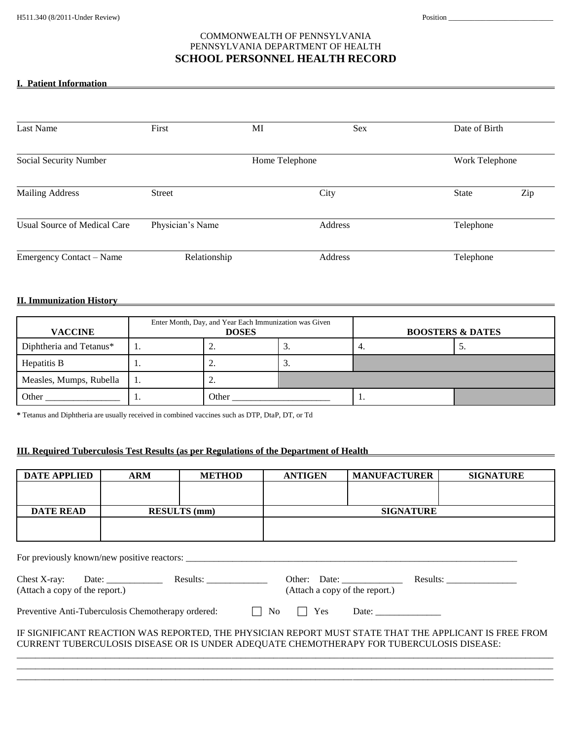# COMMONWEALTH OF PENNSYLVANIA PENNSYLVANIA DEPARTMENT OF HEALTH **SCHOOL PERSONNEL HEALTH RECORD**

## **I. Patient Information**

| Last Name                           | First            | MI | Sex     | Date of Birth |                |  |
|-------------------------------------|------------------|----|---------|---------------|----------------|--|
|                                     |                  |    |         |               |                |  |
| Social Security Number              | Home Telephone   |    |         |               | Work Telephone |  |
| <b>Mailing Address</b>              | <b>Street</b>    |    | City    | <b>State</b>  | Zip            |  |
| <b>Usual Source of Medical Care</b> | Physician's Name |    | Address | Telephone     |                |  |
| Emergency Contact - Name            | Relationship     |    | Address | Telephone     |                |  |

#### **II. Immunization History**

| <b>VACCINE</b>          | Enter Month, Day, and Year Each Immunization was Given<br><b>DOSES</b> |          | <b>BOOSTERS &amp; DATES</b> |     |
|-------------------------|------------------------------------------------------------------------|----------|-----------------------------|-----|
| Diphtheria and Tetanus* | <b>L</b> .                                                             | <u>.</u> | ٠.                          | ، پ |
| Hepatitis B             | <u>.</u>                                                               | . ب      |                             |     |
| Measles, Mumps, Rubella | <u>.</u>                                                               |          |                             |     |
| Other                   | Other                                                                  |          | . .                         |     |

**\*** Tetanus and Diphtheria are usually received in combined vaccines such as DTP, DtaP, DT, or Td

## **III. Required Tuberculosis Test Results (as per Regulations of the Department of Health**

| <b>DATE APPLIED</b>                                                                                   | <b>ARM</b>          | <b>METHOD</b> | <b>ANTIGEN</b> | <b>MANUFACTURER</b> | <b>SIGNATURE</b> |  |  |  |
|-------------------------------------------------------------------------------------------------------|---------------------|---------------|----------------|---------------------|------------------|--|--|--|
|                                                                                                       |                     |               |                |                     |                  |  |  |  |
|                                                                                                       |                     |               |                |                     |                  |  |  |  |
| <b>DATE READ</b>                                                                                      | <b>RESULTS</b> (mm) |               |                | <b>SIGNATURE</b>    |                  |  |  |  |
|                                                                                                       |                     |               |                |                     |                  |  |  |  |
|                                                                                                       |                     |               |                |                     |                  |  |  |  |
|                                                                                                       |                     |               |                |                     |                  |  |  |  |
|                                                                                                       |                     |               |                |                     |                  |  |  |  |
|                                                                                                       |                     |               |                |                     |                  |  |  |  |
|                                                                                                       |                     |               |                |                     |                  |  |  |  |
| (Attach a copy of the report.)<br>(Attach a copy of the report.)                                      |                     |               |                |                     |                  |  |  |  |
|                                                                                                       |                     |               |                |                     |                  |  |  |  |
|                                                                                                       |                     |               |                |                     |                  |  |  |  |
| IF SIGNIFICANT REACTION WAS REPORTED, THE PHYSICIAN REPORT MUST STATE THAT THE APPLICANT IS FREE FROM |                     |               |                |                     |                  |  |  |  |
| CURRENT TUBERCULOSIS DISEASE OR IS UNDER ADEQUATE CHEMOTHERAPY FOR TUBERCULOSIS DISEASE:              |                     |               |                |                     |                  |  |  |  |
|                                                                                                       |                     |               |                |                     |                  |  |  |  |
|                                                                                                       |                     |               |                |                     |                  |  |  |  |
|                                                                                                       |                     |               |                |                     |                  |  |  |  |